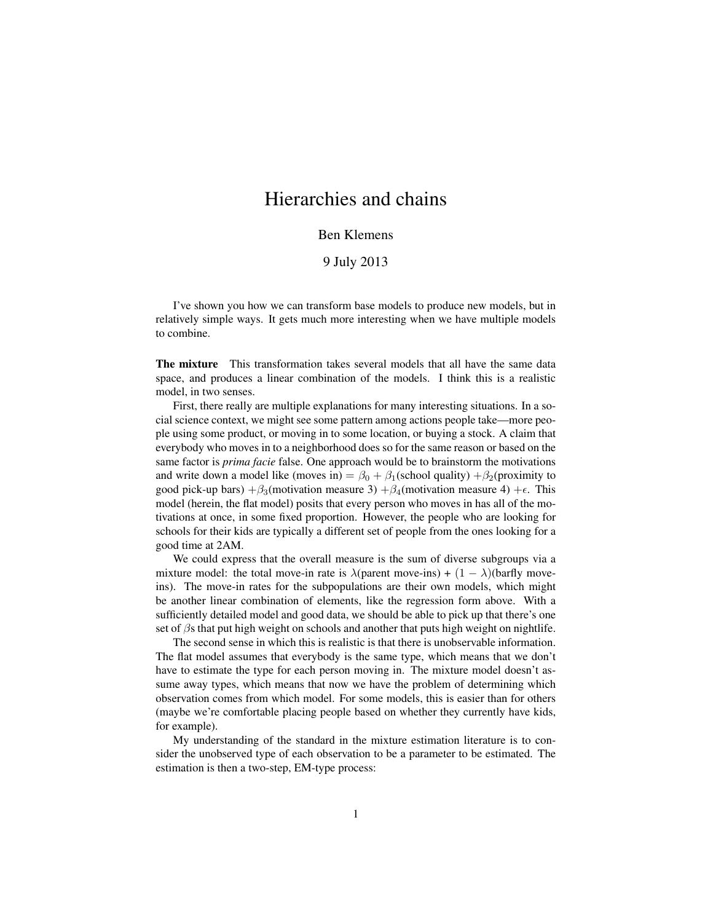## Hierarchies and chains

## Ben Klemens

## 9 July 2013

I've shown you how we can transform base models to produce new models, but in relatively simple ways. It gets much more interesting when we have multiple models to combine.

The mixture This transformation takes several models that all have the same data space, and produces a linear combination of the models. I think this is a realistic model, in two senses.

First, there really are multiple explanations for many interesting situations. In a social science context, we might see some pattern among actions people take—more people using some product, or moving in to some location, or buying a stock. A claim that everybody who moves in to a neighborhood does so for the same reason or based on the same factor is *prima facie* false. One approach would be to brainstorm the motivations and write down a model like (moves in) =  $\beta_0 + \beta_1$ (school quality) + $\beta_2$ (proximity to good pick-up bars)  $+\beta_3$ (motivation measure 3)  $+\beta_4$ (motivation measure 4) + $\epsilon$ . This model (herein, the flat model) posits that every person who moves in has all of the motivations at once, in some fixed proportion. However, the people who are looking for schools for their kids are typically a different set of people from the ones looking for a good time at 2AM.

We could express that the overall measure is the sum of diverse subgroups via a mixture model: the total move-in rate is  $\lambda$ (parent move-ins) +  $(1 - \lambda)$ (barfly moveins). The move-in rates for the subpopulations are their own models, which might be another linear combination of elements, like the regression form above. With a sufficiently detailed model and good data, we should be able to pick up that there's one set of  $\beta$ s that put high weight on schools and another that puts high weight on nightlife.

The second sense in which this is realistic is that there is unobservable information. The flat model assumes that everybody is the same type, which means that we don't have to estimate the type for each person moving in. The mixture model doesn't assume away types, which means that now we have the problem of determining which observation comes from which model. For some models, this is easier than for others (maybe we're comfortable placing people based on whether they currently have kids, for example).

My understanding of the standard in the mixture estimation literature is to consider the unobserved type of each observation to be a parameter to be estimated. The estimation is then a two-step, EM-type process: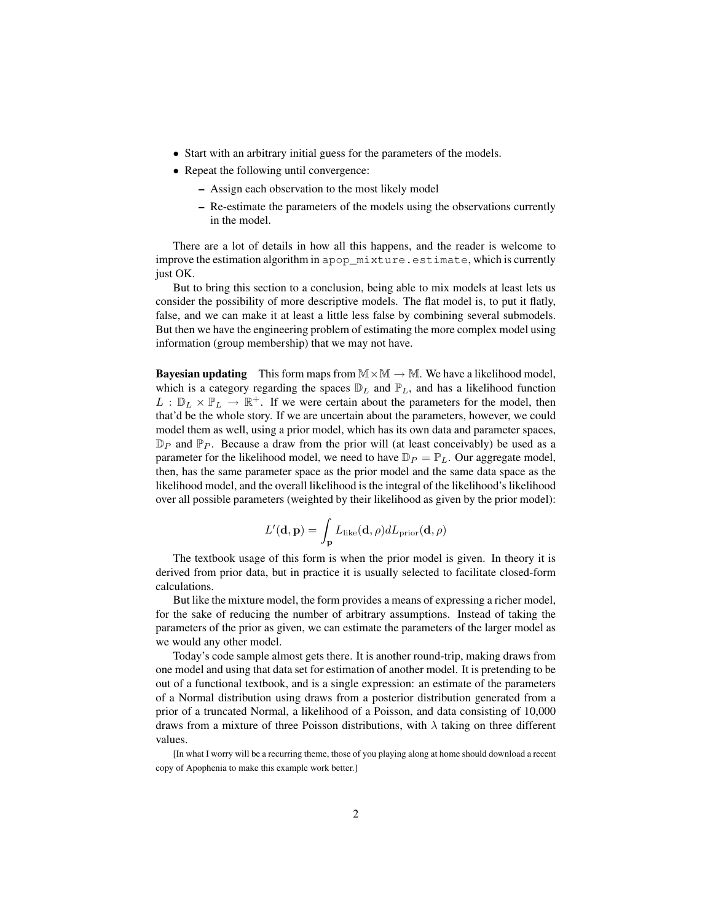- Start with an arbitrary initial guess for the parameters of the models.
- Repeat the following until convergence:
	- Assign each observation to the most likely model
	- Re-estimate the parameters of the models using the observations currently in the model.

There are a lot of details in how all this happens, and the reader is welcome to improve the estimation algorithm in apop\_mixture.estimate, which is currently just OK.

But to bring this section to a conclusion, being able to mix models at least lets us consider the possibility of more descriptive models. The flat model is, to put it flatly, false, and we can make it at least a little less false by combining several submodels. But then we have the engineering problem of estimating the more complex model using information (group membership) that we may not have.

**Bayesian updating** This form maps from  $M \times M \rightarrow M$ . We have a likelihood model, which is a category regarding the spaces  $\mathbb{D}_L$  and  $\mathbb{P}_L$ , and has a likelihood function  $L : \mathbb{D}_L \times \mathbb{P}_L \to \mathbb{R}^+$ . If we were certain about the parameters for the model, then that'd be the whole story. If we are uncertain about the parameters, however, we could model them as well, using a prior model, which has its own data and parameter spaces,  $\mathbb{D}_P$  and  $\mathbb{P}_P$ . Because a draw from the prior will (at least conceivably) be used as a parameter for the likelihood model, we need to have  $\mathbb{D}_P = \mathbb{P}_L$ . Our aggregate model, then, has the same parameter space as the prior model and the same data space as the likelihood model, and the overall likelihood is the integral of the likelihood's likelihood over all possible parameters (weighted by their likelihood as given by the prior model):

$$
L'(\mathbf{d}, \mathbf{p}) = \int_{\mathbf{p}} L_{\text{like}}(\mathbf{d}, \rho) dL_{\text{prior}}(\mathbf{d}, \rho)
$$

The textbook usage of this form is when the prior model is given. In theory it is derived from prior data, but in practice it is usually selected to facilitate closed-form calculations.

But like the mixture model, the form provides a means of expressing a richer model, for the sake of reducing the number of arbitrary assumptions. Instead of taking the parameters of the prior as given, we can estimate the parameters of the larger model as we would any other model.

Today's code sample almost gets there. It is another round-trip, making draws from one model and using that data set for estimation of another model. It is pretending to be out of a functional textbook, and is a single expression: an estimate of the parameters of a Normal distribution using draws from a posterior distribution generated from a prior of a truncated Normal, a likelihood of a Poisson, and data consisting of 10,000 draws from a mixture of three Poisson distributions, with  $\lambda$  taking on three different values.

[In what I worry will be a recurring theme, those of you playing along at home should download a recent copy of Apophenia to make this example work better.]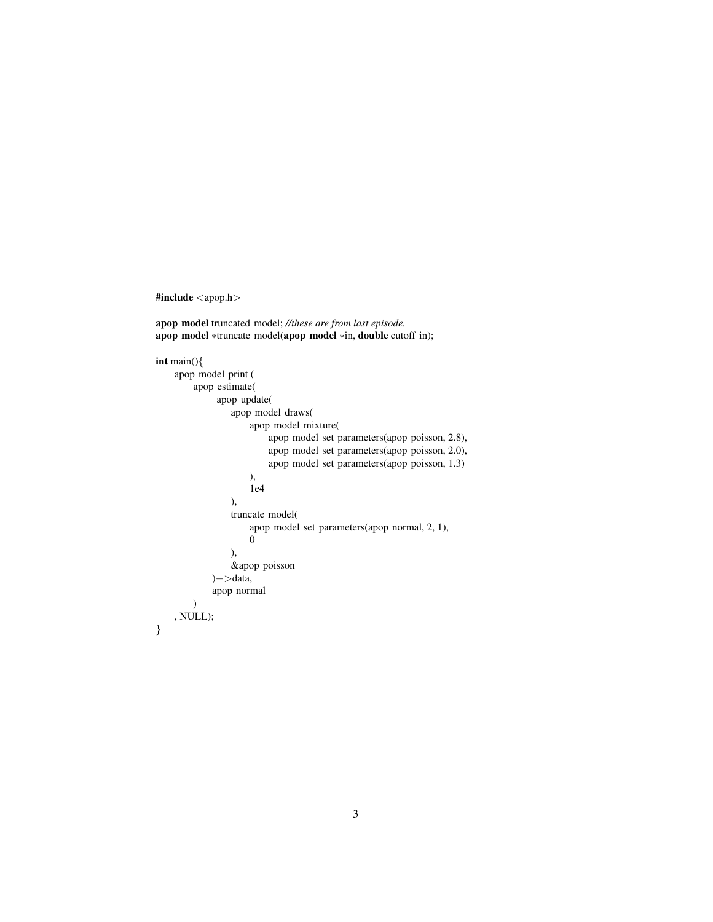#include <apop.h>

apop model truncated model; *//these are from last episode.* apop\_model \*truncate\_model(apop\_model \*in, double cutoff\_in);

```
int main(){
    apop_model_print (
        apop estimate(
             apop update(
                apop_model_draws(
                     apop_model_mixture(
                         apop model set parameters(apop poisson, 2.8),
                         apop model set parameters(apop poisson, 2.0),
                         apop model set parameters(apop poisson, 1.3)
                     ),
                     1e4
                ),
                truncate model(
                     apop model set parameters(apop normal, 2, 1),
                     0
                ),
                &apop poisson
            )−>data,
            apop normal
        )
    , NULL);
}
```